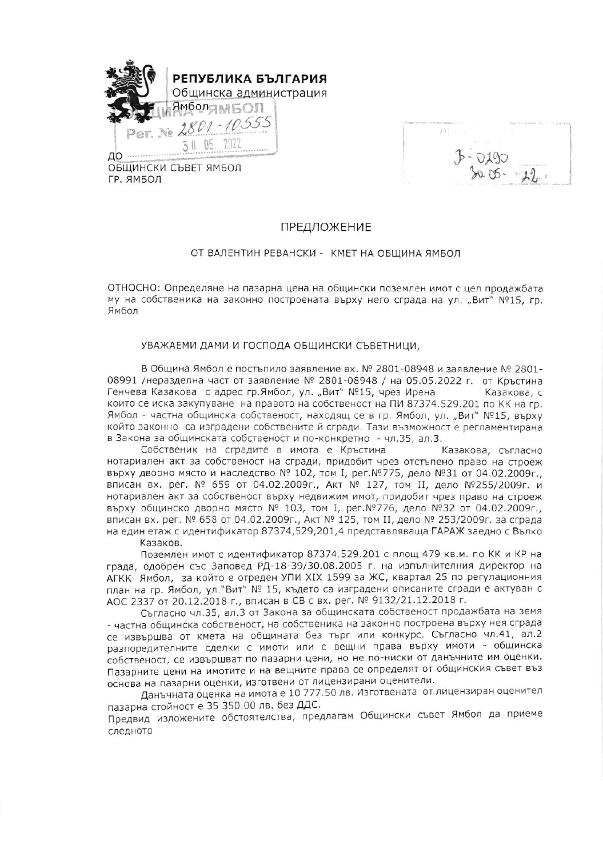

ГР. ЯМБОЛ

 $(1)$ ...

## ПРЕДЛОЖЕНИЕ

## ОТ ВАЛЕНТИН РЕВАНСКИ - КМЕТ НА ОБЩИНА ЯМБОЛ

ОТНОСНО: Определяне на пазарна цена на общински поземлен имот с цел продажбата му на собственика на законно построената върху него сграда на ул. "Вит" №15, гр. Ямбол

## УВАЖАЕМИ ДАМИ И ГОСПОДА ОБЩИНСКИ СЪВЕТНИЦИ.

В Община Ямбол е постъпило заявление вх. № 2801-08948 и заявление № 2801-08991 /неразделна част от заявление № 2801-08948 / на 05.05.2022 г. от Кръстина Генчева Казакова с адрес гр.Ямбол, ул. "Вит" №15, чрез Ирена Казакова, с които се иска закупуване на правото на собственост на ПИ 87374.529.201 по КК на гр. Ямбол - частна общинска собственост, находящ се в гр. Ямбол, ул. "Вит" №15, върху който законно са изградени собствените й сгради. Тази възможност е регламентирана в Закона за общинската собственост и по-конкретно - чл.35, ал.3.

Собственик на сградите в имота е Кръстина Казакова, съгласно нотариален акт за собственост на сгради, придобит чрез отстъпено право на строеж върху дворно място и наследство № 102, том I, рег. № 775, дело № 31 от 04.02.2009г., вписан вх. рег. № 659 от 04.02.2009г., Акт № 127, том II, дело №255/2009г. и нотариален акт за собственост върху недвижим имот, придобит чрез право на строеж върху общинско дворно място № 103, том I, рег. №776, дело №32 от 04.02.2009г., вписан вх. рег. № 658 от 04.02.2009г., Акт № 125, том II, дело № 253/2009г. за сграда на един етаж с идентификатор 87374,529,201,4 представляваща ГАРАЖ заедно с Вълко Казаков.

Поземлен имот с идентификатор 87374.529.201 с площ 479 кв.м. по КК и КР на града, одобрен със Заповед РД-18-39/30.08.2005 г. на изпълнителния директор на АГКК Ямбол, за който е отреден УПИ XIX 1599 за ЖС, квартал 25 по регулационния план на гр. Ямбол, ул. вит № 15, където са изградени описаните сгради е актуван с АОС 2337 от 20.12.2018 г., вписан в СВ с вх. рег. № 9132/21.12.2018 г.

Съгласно чл.35, ал.3 от Закона за общинската собственост продажбата на земя - частна общинска собственост, на собственика на законно построена върху нея сграда се извършва от кмета на общината без търг или конкурс. Съгласно чл.41, ал.2 разпоредителните сделки с имоти или с вещни права върху имоти - общинска собственост, се извършват по пазарни цени, но не по-ниски от данъчните им оценки. Пазарните цени на имотите и на вещните права се определят от общинския съвет въз основа на пазарни оценки, изготвени от лицензирани оценители.

Данъчната оценка на имота е 10 777.50 лв. Изготвената от лицензиран оценител пазарна стойност е 35 350.00 лв. без ДДС. Предвид изложените обстоятелства, предлагам Общински съвет Ямбол да приеме следното